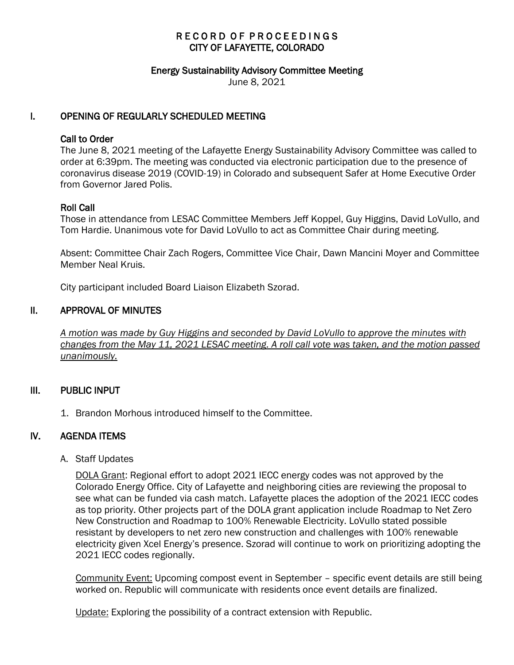# RECORD OF PROCEEDINGS CITY OF LAFAYETTE, COLORADO

#### Energy Sustainability Advisory Committee Meeting

June 8, 2021

## I. OPENING OF REGULARLY SCHEDULED MEETING

### Call to Order

The June 8, 2021 meeting of the Lafayette Energy Sustainability Advisory Committee was called to order at 6:39pm. The meeting was conducted via electronic participation due to the presence of coronavirus disease 2019 (COVID-19) in Colorado and subsequent Safer at Home Executive Order from Governor Jared Polis.

### Roll Call

Those in attendance from LESAC Committee Members Jeff Koppel, Guy Higgins, David LoVullo, and Tom Hardie. Unanimous vote for David LoVullo to act as Committee Chair during meeting.

Absent: Committee Chair Zach Rogers, Committee Vice Chair, Dawn Mancini Moyer and Committee Member Neal Kruis.

City participant included Board Liaison Elizabeth Szorad.

### II. APPROVAL OF MINUTES

 *A motion was made by Guy Higgins and seconded by David LoVullo to approve the minutes with changes from the May 11, 2021 LESAC meeting. A roll call vote was taken, and the motion passed unanimously.* 

### III. PUBLIC INPUT

1. Brandon Morhous introduced himself to the Committee.

# IV. AGENDA ITEMS

A. Staff Updates

DOLA Grant: Regional effort to adopt 2021 IECC energy codes was not approved by the Colorado Energy Office. City of Lafayette and neighboring cities are reviewing the proposal to see what can be funded via cash match. Lafayette places the adoption of the 2021 IECC codes as top priority. Other projects part of the DOLA grant application include Roadmap to Net Zero New Construction and Roadmap to 100% Renewable Electricity. LoVullo stated possible resistant by developers to net zero new construction and challenges with 100% renewable electricity given Xcel Energy's presence. Szorad will continue to work on prioritizing adopting the 2021 IECC codes regionally.

Community Event: Upcoming compost event in September – specific event details are still being worked on. Republic will communicate with residents once event details are finalized.

Update: Exploring the possibility of a contract extension with Republic.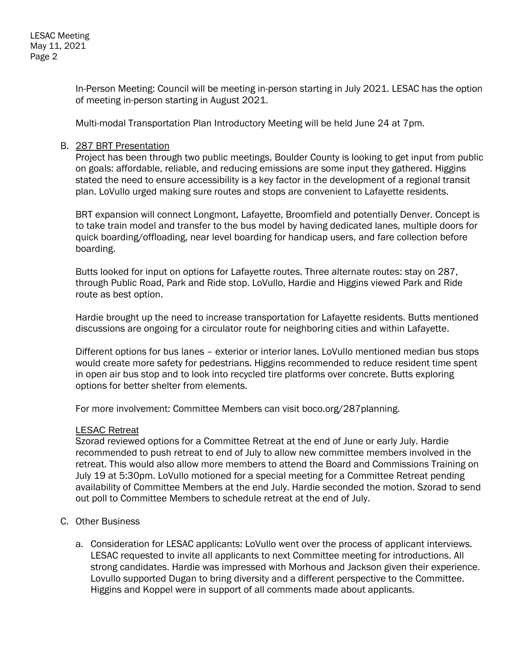In-Person Meeting: Council will be meeting in-person starting in July 2021. LESAC has the option of meeting in-person starting in August 2021.

Multi-modal Transportation Plan Introductory Meeting will be held June 24 at 7pm.

### B. 287 BRT Presentation

Project has been through two public meetings, Boulder County is looking to get input from public on goals: affordable, reliable, and reducing emissions are some input they gathered. Higgins stated the need to ensure accessibility is a key factor in the development of a regional transit plan. LoVullo urged making sure routes and stops are convenient to Lafayette residents.

BRT expansion will connect Longmont, Lafayette, Broomfield and potentially Denver. Concept is to take train model and transfer to the bus model by having dedicated lanes, multiple doors for quick boarding/offloading, near level boarding for handicap users, and fare collection before boarding.

Butts looked for input on options for Lafayette routes. Three alternate routes: stay on 287, through Public Road, Park and Ride stop. LoVullo, Hardie and Higgins viewed Park and Ride route as best option.

Hardie brought up the need to increase transportation for Lafayette residents. Butts mentioned discussions are ongoing for a circulator route for neighboring cities and within Lafayette.

Different options for bus lanes – exterior or interior lanes. LoVullo mentioned median bus stops would create more safety for pedestrians. Higgins recommended to reduce resident time spent in open air bus stop and to look into recycled tire platforms over concrete. Butts exploring options for better shelter from elements.

For more involvement: Committee Members can visit boco.org/287planning.

### LESAC Retreat

Szorad reviewed options for a Committee Retreat at the end of June or early July. Hardie recommended to push retreat to end of July to allow new committee members involved in the retreat. This would also allow more members to attend the Board and Commissions Training on July 19 at 5:30pm. LoVullo motioned for a special meeting for a Committee Retreat pending availability of Committee Members at the end July. Hardie seconded the motion. Szorad to send out poll to Committee Members to schedule retreat at the end of July.

# C. Other Business

a. Consideration for LESAC applicants: LoVullo went over the process of applicant interviews. LESAC requested to invite all applicants to next Committee meeting for introductions. All strong candidates. Hardie was impressed with Morhous and Jackson given their experience. Lovullo supported Dugan to bring diversity and a different perspective to the Committee. Higgins and Koppel were in support of all comments made about applicants.